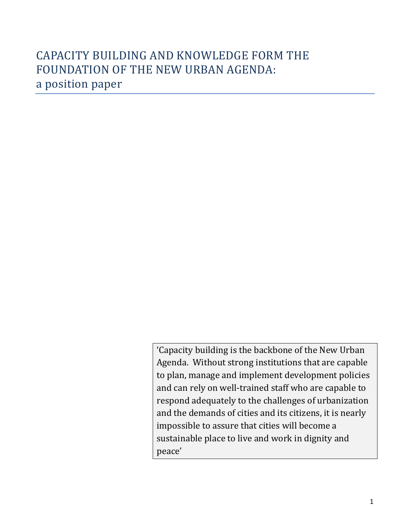# CAPACITY BUILDING AND KNOWLEDGE FORM THE FOUNDATION OF THE NEW URBAN AGENDA: a position paper

'Capacity building is the backbone of the New Urban Agenda. Without strong institutions that are capable to plan, manage and implement development policies and can rely on well-trained staff who are capable to respond adequately to the challenges of urbanization and the demands of cities and its citizens, it is nearly impossible to assure that cities will become a sustainable place to live and work in dignity and peace'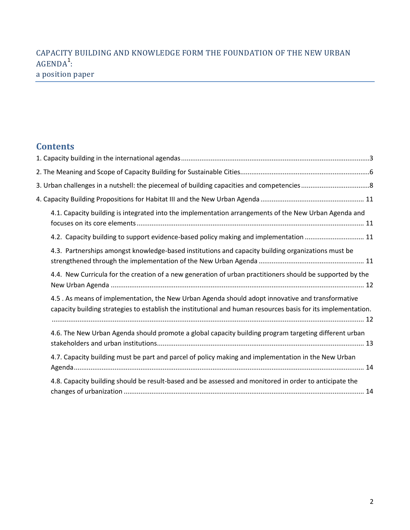## CAPACITY BUILDING AND KNOWLEDGE FORM THE FOUNDATION OF THE NEW URBAN  $AGENDA<sup>1</sup>$ : a position paper

# **Contents**

| 4.1. Capacity building is integrated into the implementation arrangements of the New Urban Agenda and                                                                                                             |
|-------------------------------------------------------------------------------------------------------------------------------------------------------------------------------------------------------------------|
| 4.2. Capacity building to support evidence-based policy making and implementation  11                                                                                                                             |
| 4.3. Partnerships amongst knowledge-based institutions and capacity building organizations must be                                                                                                                |
| 4.4. New Curricula for the creation of a new generation of urban practitioners should be supported by the                                                                                                         |
| 4.5. As means of implementation, the New Urban Agenda should adopt innovative and transformative<br>capacity building strategies to establish the institutional and human resources basis for its implementation. |
| 4.6. The New Urban Agenda should promote a global capacity building program targeting different urban                                                                                                             |
| 4.7. Capacity building must be part and parcel of policy making and implementation in the New Urban                                                                                                               |
| 4.8. Capacity building should be result-based and be assessed and monitored in order to anticipate the                                                                                                            |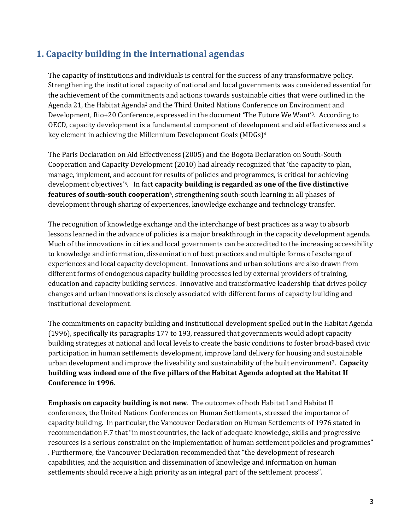# <span id="page-2-0"></span>**1. Capacity building in the international agendas**

The capacity of institutions and individuals is central for the success of any transformative policy. Strengthening the institutional capacity of national and local governments was considered essential for the achievement of the commitments and actions towards sustainable cities that were outlined in the Agenda 21, the Habitat Agenda<sup>2</sup> and the Third United Nations Conference on Environment and Development, Rio+20 Conference, expressed in the document 'The Future We Want'3. According to OECD, capacity development is a fundamental component of development and aid effectiveness and a key element in achieving the Millennium Development Goals (MDGs)<sup>4</sup>

The Paris Declaration on Aid Effectiveness (2005) and the Bogota Declaration on South-South Cooperation and Capacity Development (2010) had already recognized that 'the capacity to plan, manage, implement, and account for results of policies and programmes, is critical for achieving development objectives' <sup>5</sup>. In fact **capacity building is regarded as one of the five distinctive features of south-south cooperation**6, strengthening south-south learning in all phases of development through sharing of experiences, knowledge exchange and technology transfer.

The recognition of knowledge exchange and the interchange of best practices as a way to absorb lessons learned in the advance of policies is a major breakthrough in the capacity development agenda. Much of the innovations in cities and local governments can be accredited to the increasing accessibility to knowledge and information, dissemination of best practices and multiple forms of exchange of experiences and local capacity development. Innovations and urban solutions are also drawn from different forms of endogenous capacity building processes led by external providers of training, education and capacity building services. Innovative and transformative leadership that drives policy changes and urban innovations is closely associated with different forms of capacity building and institutional development.

The commitments on capacity building and institutional development spelled out in the Habitat Agenda (1996), specifically its paragraphs 177 to 193, reassured that governments would adopt capacity building strategies at national and local levels to create the basic conditions to foster broad-based civic participation in human settlements development, improve land delivery for housing and sustainable urban development and improve the liveability and sustainability of the built environment7. **Capacity building was indeed one of the five pillars of the Habitat Agenda adopted at the Habitat II Conference in 1996.**

**Emphasis on capacity building is not new**. The outcomes of both Habitat I and Habitat II conferences, the United Nations Conferences on Human Settlements, stressed the importance of capacity building. In particular, the Vancouver Declaration on Human Settlements of 1976 stated in recommendation F.7 that "in most countries, the lack of adequate knowledge, skills and progressive resources is a serious constraint on the implementation of human settlement policies and programmes" . Furthermore, the Vancouver Declaration recommended that "the development of research capabilities, and the acquisition and dissemination of knowledge and information on human settlements should receive a high priority as an integral part of the settlement process".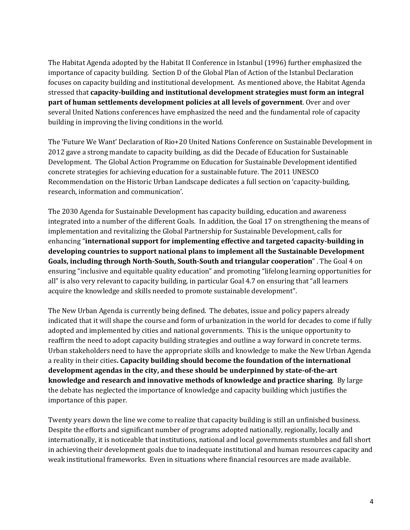The Habitat Agenda adopted by the Habitat II Conference in Istanbul (1996) further emphasized the importance of capacity building. Section D of the Global Plan of Action of the Istanbul Declaration focuses on capacity building and institutional development. As mentioned above, the Habitat Agenda stressed that **capacity-building and institutional development strategies must form an integral part of human settlements development policies at all levels of government**. Over and over several United Nations conferences have emphasized the need and the fundamental role of capacity building in improving the living conditions in the world.

The 'Future We Want' Declaration of Rio+20 United Nations Conference on Sustainable Development in 2012 gave a strong mandate to capacity building, as did the Decade of Education for Sustainable Development. The Global Action Programme on Education for Sustainable Development identified concrete strategies for achieving education for a sustainable future. The 2011 UNESCO Recommendation on the Historic Urban Landscape dedicates a full section on 'capacity-building, research, information and communication'.

The 2030 Agenda for Sustainable Development has capacity building, education and awareness integrated into a number of the different Goals. In addition, the Goal 17 on strengthening the means of implementation and revitalizing the Global Partnership for Sustainable Development, calls for enhancing "**international support for implementing effective and targeted capacity-building in developing countries to support national plans to implement all the Sustainable Development Goals, including through North-South, South-South and triangular cooperation**" . The Goal 4 on ensuring "inclusive and equitable quality education" and promoting "lifelong learning opportunities for all" is also very relevant to capacity building, in particular Goal 4.7 on ensuring that "all learners acquire the knowledge and skills needed to promote sustainable development".

The New Urban Agenda is currently being defined. The debates, issue and policy papers already indicated that it will shape the course and form of urbanization in the world for decades to come if fully adopted and implemented by cities and national governments. This is the unique opportunity to reaffirm the need to adopt capacity building strategies and outline a way forward in concrete terms. Urban stakeholders need to have the appropriate skills and knowledge to make the New Urban Agenda a reality in their cities**. Capacity building should become the foundation of the international development agendas in the city, and these should be underpinned by state-of-the-art knowledge and research and innovative methods of knowledge and practice sharing**. By large the debate has neglected the importance of knowledge and capacity building which justifies the importance of this paper.

Twenty years down the line we come to realize that capacity building is still an unfinished business. Despite the efforts and significant number of programs adopted nationally, regionally, locally and internationally, it is noticeable that institutions, national and local governments stumbles and fall short in achieving their development goals due to inadequate institutional and human resources capacity and weak institutional frameworks. Even in situations where financial resources are made available.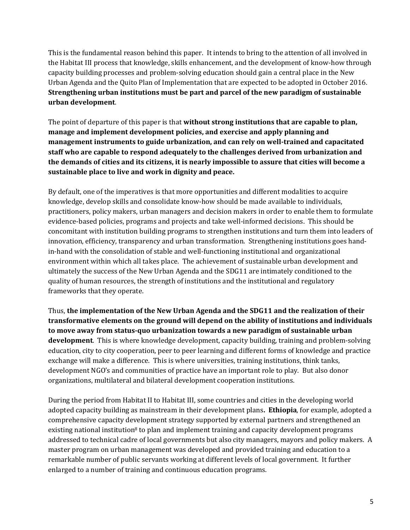This is the fundamental reason behind this paper. It intends to bring to the attention of all involved in the Habitat III process that knowledge, skills enhancement, and the development of know-how through capacity building processes and problem-solving education should gain a central place in the New Urban Agenda and the Quito Plan of Implementation that are expected to be adopted in October 2016. **Strengthening urban institutions must be part and parcel of the new paradigm of sustainable urban development**.

The point of departure of this paper is that **without strong institutions that are capable to plan, manage and implement development policies, and exercise and apply planning and management instruments to guide urbanization, and can rely on well-trained and capacitated staff who are capable to respond adequately to the challenges derived from urbanization and the demands of cities and its citizens, it is nearly impossible to assure that cities will become a sustainable place to live and work in dignity and peace.** 

By default, one of the imperatives is that more opportunities and different modalities to acquire knowledge, develop skills and consolidate know-how should be made available to individuals, practitioners, policy makers, urban managers and decision makers in order to enable them to formulate evidence-based policies, programs and projects and take well-informed decisions. This should be concomitant with institution building programs to strengthen institutions and turn them into leaders of innovation, efficiency, transparency and urban transformation. Strengthening institutions goes handin-hand with the consolidation of stable and well-functioning institutional and organizational environment within which all takes place. The achievement of sustainable urban development and ultimately the success of the New Urban Agenda and the SDG11 are intimately conditioned to the quality of human resources, the strength of institutions and the institutional and regulatory frameworks that they operate.

Thus, **the implementation of the New Urban Agenda and the SDG11 and the realization of their transformative elements on the ground will depend on the ability of institutions and individuals to move away from status-quo urbanization towards a new paradigm of sustainable urban development**. This is where knowledge development, capacity building, training and problem-solving education, city to city cooperation, peer to peer learning and different forms of knowledge and practice exchange will make a difference. This is where universities, training institutions, think tanks, development NGO's and communities of practice have an important role to play. But also donor organizations, multilateral and bilateral development cooperation institutions.

During the period from Habitat II to Habitat III, some countries and cities in the developing world adopted capacity building as mainstream in their development plans**. Ethiopia**, for example, adopted a comprehensive capacity development strategy supported by external partners and strengthened an existing national institution<sup>8</sup> to plan and implement training and capacity development programs addressed to technical cadre of local governments but also city managers, mayors and policy makers. A master program on urban management was developed and provided training and education to a remarkable number of public servants working at different levels of local government. It further enlarged to a number of training and continuous education programs.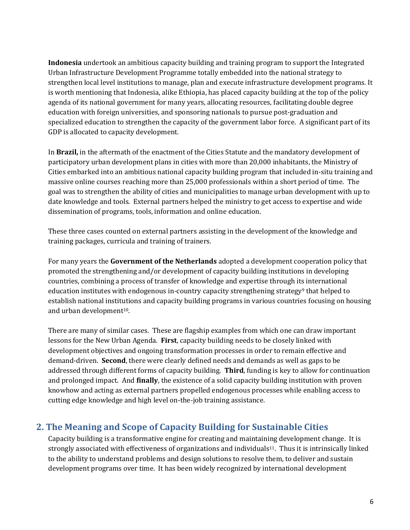**Indonesia** undertook an ambitious capacity building and training program to support the Integrated Urban Infrastructure Development Programme totally embedded into the national strategy to strengthen local level institutions to manage, plan and execute infrastructure development programs. It is worth mentioning that Indonesia, alike Ethiopia, has placed capacity building at the top of the policy agenda of its national government for many years, allocating resources, facilitating double degree education with foreign universities, and sponsoring nationals to pursue post-graduation and specialized education to strengthen the capacity of the government labor force. A significant part of its GDP is allocated to capacity development.

In **Brazil,** in the aftermath of the enactment of the Cities Statute and the mandatory development of participatory urban development plans in cities with more than 20,000 inhabitants, the Ministry of Cities embarked into an ambitious national capacity building program that included in-situ training and massive online courses reaching more than 25,000 professionals within a short period of time. The goal was to strengthen the ability of cities and municipalities to manage urban development with up to date knowledge and tools. External partners helped the ministry to get access to expertise and wide dissemination of programs, tools, information and online education.

These three cases counted on external partners assisting in the development of the knowledge and training packages, curricula and training of trainers.

For many years the **Government of the Netherlands** adopted a development cooperation policy that promoted the strengthening and/or development of capacity building institutions in developing countries, combining a process of transfer of knowledge and expertise through its international education institutes with endogenous in-country capacity strengthening strategy<sup>9</sup> that helped to establish national institutions and capacity building programs in various countries focusing on housing and urban development<sup>10</sup>.

There are many of similar cases. These are flagship examples from which one can draw important lessons for the New Urban Agenda. **First**, capacity building needs to be closely linked with development objectives and ongoing transformation processes in order to remain effective and demand-driven. **Second**, there were clearly defined needs and demands as well as gaps to be addressed through different forms of capacity building. **Third**, funding is key to allow for continuation and prolonged impact. And **finally**, the existence of a solid capacity building institution with proven knowhow and acting as external partners propelled endogenous processes while enabling access to cutting edge knowledge and high level on-the-job training assistance.

# <span id="page-5-0"></span>**2. The Meaning and Scope of Capacity Building for Sustainable Cities**

Capacity building is a transformative engine for creating and maintaining development change. It is strongly associated with effectiveness of organizations and individuals<sup>11</sup>. Thus it is intrinsically linked to the ability to understand problems and design solutions to resolve them, to deliver and sustain development programs over time. It has been widely recognized by international development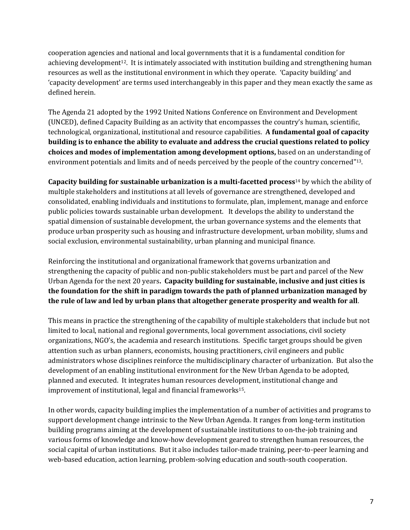cooperation agencies and national and local governments that it is a fundamental condition for achieving development<sup>12</sup>. It is intimately associated with institution building and strengthening human resources as well as the institutional environment in which they operate. 'Capacity building' and 'capacity development' are terms used interchangeably in this paper and they mean exactly the same as defined herein.

The Agenda 21 adopted by the 1992 United Nations Conference on Environment and Development (UNCED), defined Capacity Building as an activity that encompasses the country's human, scientific, technological, organizational, institutional and resource capabilities. **A fundamental goal of capacity building is to enhance the ability to evaluate and address the crucial questions related to policy choices and modes of implementation among development options,** based on an understanding of environment potentials and limits and of needs perceived by the people of the country concerned"13.

**Capacity building for sustainable urbanization is a multi-facetted process**<sup>14</sup> by which the ability of multiple stakeholders and institutions at all levels of governance are strengthened, developed and consolidated, enabling individuals and institutions to formulate, plan, implement, manage and enforce public policies towards sustainable urban development. It develops the ability to understand the spatial dimension of sustainable development, the urban governance systems and the elements that produce urban prosperity such as housing and infrastructure development, urban mobility, slums and social exclusion, environmental sustainability, urban planning and municipal finance.

Reinforcing the institutional and organizational framework that governs urbanization and strengthening the capacity of public and non-public stakeholders must be part and parcel of the New Urban Agenda for the next 20 years**. Capacity building for sustainable, inclusive and just cities is the foundation for the shift in paradigm towards the path of planned urbanization managed by the rule of law and led by urban plans that altogether generate prosperity and wealth for all**.

This means in practice the strengthening of the capability of multiple stakeholders that include but not limited to local, national and regional governments, local government associations, civil society organizations, NGO's, the academia and research institutions. Specific target groups should be given attention such as urban planners, economists, housing practitioners, civil engineers and public administrators whose disciplines reinforce the multidisciplinary character of urbanization. But also the development of an enabling institutional environment for the New Urban Agenda to be adopted, planned and executed. It integrates human resources development, institutional change and improvement of institutional, legal and financial frameworks<sup>15</sup>.

In other words, capacity building implies the implementation of a number of activities and programs to support development change intrinsic to the New Urban Agenda. It ranges from long-term institution building programs aiming at the development of sustainable institutions to on-the-job training and various forms of knowledge and know-how development geared to strengthen human resources, the social capital of urban institutions. But it also includes tailor-made training, peer-to-peer learning and web-based education, action learning, problem-solving education and south-south cooperation.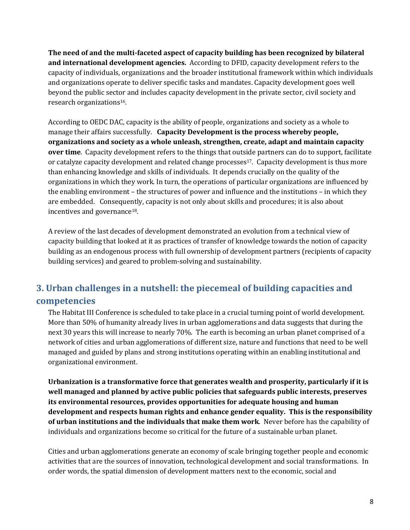**The need of and the multi-faceted aspect of capacity building has been recognized by bilateral and international development agencies.** According to DFID, capacity development refers to the capacity of individuals, organizations and the broader institutional framework within which individuals and organizations operate to deliver specific tasks and mandates. Capacity development goes well beyond the public sector and includes capacity development in the private sector, civil society and research organizations16.

According to OEDC DAC, capacity is the ability of people, organizations and society as a whole to manage their affairs successfully. **Capacity Development is the process whereby people, organizations and society as a whole unleash, strengthen, create, adapt and maintain capacity over time**. Capacity development refers to the things that outside partners can do to support, facilitate or catalyze capacity development and related change processes<sup>17</sup>. Capacity development is thus more than enhancing knowledge and skills of individuals. It depends crucially on the quality of the organizations in which they work. In turn, the operations of particular organizations are influenced by the enabling environment – the structures of power and influence and the institutions – in which they are embedded. Consequently, capacity is not only about skills and procedures; it is also about incentives and governance18.

A review of the last decades of development demonstrated an evolution from a technical view of capacity building that looked at it as practices of transfer of knowledge towards the notion of capacity building as an endogenous process with full ownership of development partners (recipients of capacity building services) and geared to problem-solving and sustainability.

# <span id="page-7-0"></span>**3. Urban challenges in a nutshell: the piecemeal of building capacities and competencies**

The Habitat III Conference is scheduled to take place in a crucial turning point of world development. More than 50% of humanity already lives in urban agglomerations and data suggests that during the next 30 years this will increase to nearly 70%. The earth is becoming an urban planet comprised of a network of cities and urban agglomerations of different size, nature and functions that need to be well managed and guided by plans and strong institutions operating within an enabling institutional and organizational environment.

**Urbanization is a transformative force that generates wealth and prosperity, particularly if it is well managed and planned by active public policies that safeguards public interests, preserves its environmental resources, provides opportunities for adequate housing and human development and respects human rights and enhance gender equality. This is the responsibility of urban institutions and the individuals that make them work**. Never before has the capability of individuals and organizations become so critical for the future of a sustainable urban planet.

Cities and urban agglomerations generate an economy of scale bringing together people and economic activities that are the sources of innovation, technological development and social transformations. In order words, the spatial dimension of development matters next to the economic, social and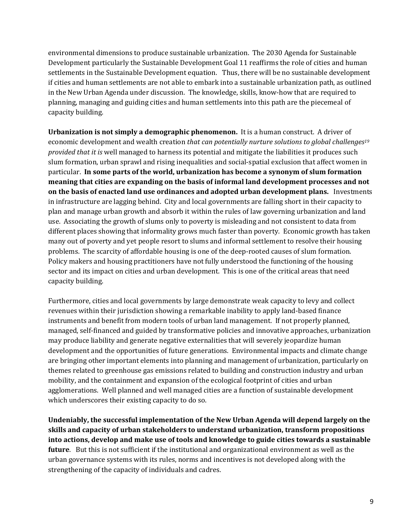environmental dimensions to produce sustainable urbanization. The 2030 Agenda for Sustainable Development particularly the Sustainable Development Goal 11 reaffirms the role of cities and human settlements in the Sustainable Development equation. Thus, there will be no sustainable development if cities and human settlements are not able to embark into a sustainable urbanization path, as outlined in the New Urban Agenda under discussion. The knowledge, skills, know-how that are required to planning, managing and guiding cities and human settlements into this path are the piecemeal of capacity building.

**Urbanization is not simply a demographic phenomenon.** It is a human construct. A driver of economic development and wealth creation *that can potentially nurture solutions to global challenges<sup>19</sup> provided that it is* well managed to harness its potential and mitigate the liabilities it produces such slum formation, urban sprawl and rising inequalities and social-spatial exclusion that affect women in particular. **In some parts of the world, urbanization has become a synonym of slum formation meaning that cities are expanding on the basis of informal land development processes and not on the basis of enacted land use ordinances and adopted urban development plans.** Investments in infrastructure are lagging behind. City and local governments are falling short in their capacity to plan and manage urban growth and absorb it within the rules of law governing urbanization and land use. Associating the growth of slums only to poverty is misleading and not consistent to data from different places showing that informality grows much faster than poverty. Economic growth has taken many out of poverty and yet people resort to slums and informal settlement to resolve their housing problems. The scarcity of affordable housing is one of the deep-rooted causes of slum formation. Policy makers and housing practitioners have not fully understood the functioning of the housing sector and its impact on cities and urban development. This is one of the critical areas that need capacity building.

Furthermore, cities and local governments by large demonstrate weak capacity to levy and collect revenues within their jurisdiction showing a remarkable inability to apply land-based finance instruments and benefit from modern tools of urban land management. If not properly planned, managed, self-financed and guided by transformative policies and innovative approaches, urbanization may produce liability and generate negative externalities that will severely jeopardize human development and the opportunities of future generations. Environmental impacts and climate change are bringing other important elements into planning and management of urbanization, particularly on themes related to greenhouse gas emissions related to building and construction industry and urban mobility, and the containment and expansion of the ecological footprint of cities and urban agglomerations. Well planned and well managed cities are a function of sustainable development which underscores their existing capacity to do so.

**Undeniably, the successful implementation of the New Urban Agenda will depend largely on the skills and capacity of urban stakeholders to understand urbanization, transform propositions into actions, develop and make use of tools and knowledge to guide cities towards a sustainable future**. But this is not sufficient if the institutional and organizational environment as well as the urban governance systems with its rules, norms and incentives is not developed along with the strengthening of the capacity of individuals and cadres.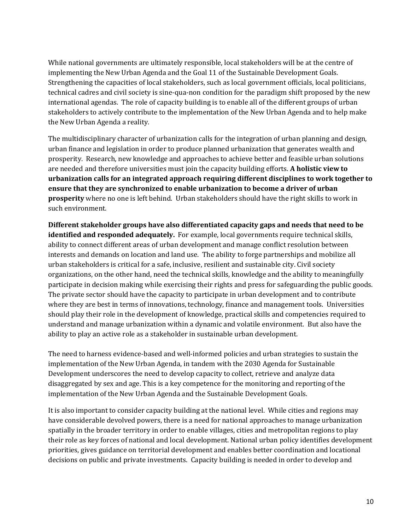While national governments are ultimately responsible, local stakeholders will be at the centre of implementing the New Urban Agenda and the Goal 11 of the Sustainable Development Goals. Strengthening the capacities of local stakeholders, such as local government officials, local politicians, technical cadres and civil society is sine-qua-non condition for the paradigm shift proposed by the new international agendas. The role of capacity building is to enable all of the different groups of urban stakeholders to actively contribute to the implementation of the New Urban Agenda and to help make the New Urban Agenda a reality.

The multidisciplinary character of urbanization calls for the integration of urban planning and design, urban finance and legislation in order to produce planned urbanization that generates wealth and prosperity. Research, new knowledge and approaches to achieve better and feasible urban solutions are needed and therefore universities must join the capacity building efforts. **A holistic view to urbanization calls for an integrated approach requiring different disciplines to work together to ensure that they are synchronized to enable urbanization to become a driver of urban prosperity** where no one is left behind. Urban stakeholders should have the right skills to work in such environment.

**Different stakeholder groups have also differentiated capacity gaps and needs that need to be identified and responded adequately.** For example, local governments require technical skills, ability to connect different areas of urban development and manage conflict resolution between interests and demands on location and land use. The ability to forge partnerships and mobilize all urban stakeholders is critical for a safe, inclusive, resilient and sustainable city. Civil society organizations, on the other hand, need the technical skills, knowledge and the ability to meaningfully participate in decision making while exercising their rights and press for safeguarding the public goods. The private sector should have the capacity to participate in urban development and to contribute where they are best in terms of innovations, technology, finance and management tools. Universities should play their role in the development of knowledge, practical skills and competencies required to understand and manage urbanization within a dynamic and volatile environment. But also have the ability to play an active role as a stakeholder in sustainable urban development.

The need to harness evidence-based and well-informed policies and urban strategies to sustain the implementation of the New Urban Agenda, in tandem with the 2030 Agenda for Sustainable Development underscores the need to develop capacity to collect, retrieve and analyze data disaggregated by sex and age. This is a key competence for the monitoring and reporting of the implementation of the New Urban Agenda and the Sustainable Development Goals.

It is also important to consider capacity building at the national level. While cities and regions may have considerable devolved powers, there is a need for national approaches to manage urbanization spatially in the broader territory in order to enable villages, cities and metropolitan regions to play their role as key forces of national and local development. National urban policy identifies development priorities, gives guidance on territorial development and enables better coordination and locational decisions on public and private investments. Capacity building is needed in order to develop and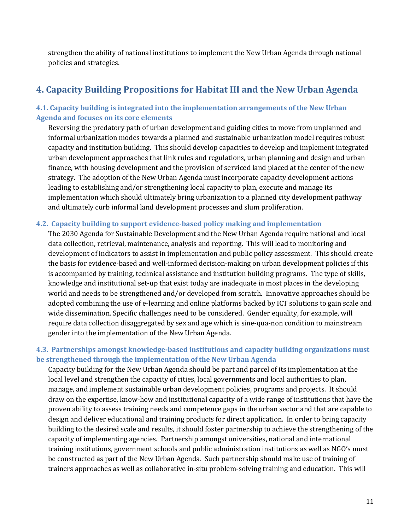strengthen the ability of national institutions to implement the New Urban Agenda through national policies and strategies.

# <span id="page-10-0"></span>**4. Capacity Building Propositions for Habitat III and the New Urban Agenda**

### <span id="page-10-1"></span>**4.1. Capacity building is integrated into the implementation arrangements of the New Urban Agenda and focuses on its core elements**

Reversing the predatory path of urban development and guiding cities to move from unplanned and informal urbanization modes towards a planned and sustainable urbanization model requires robust capacity and institution building. This should develop capacities to develop and implement integrated urban development approaches that link rules and regulations, urban planning and design and urban finance, with housing development and the provision of serviced land placed at the center of the new strategy. The adoption of the New Urban Agenda must incorporate capacity development actions leading to establishing and/or strengthening local capacity to plan, execute and manage its implementation which should ultimately bring urbanization to a planned city development pathway and ultimately curb informal land development processes and slum proliferation.

#### <span id="page-10-2"></span>**4.2. Capacity building to support evidence-based policy making and implementation**

The 2030 Agenda for Sustainable Development and the New Urban Agenda require national and local data collection, retrieval, maintenance, analysis and reporting. This will lead to monitoring and development of indicators to assist in implementation and public policy assessment. This should create the basis for evidence-based and well-informed decision-making on urban development policies if this is accompanied by training, technical assistance and institution building programs. The type of skills, knowledge and institutional set-up that exist today are inadequate in most places in the developing world and needs to be strengthened and/or developed from scratch. Innovative approaches should be adopted combining the use of e-learning and online platforms backed by ICT solutions to gain scale and wide dissemination. Specific challenges need to be considered. Gender equality, for example, will require data collection disaggregated by sex and age which is sine-qua-non condition to mainstream gender into the implementation of the New Urban Agenda.

#### <span id="page-10-3"></span>**4.3. Partnerships amongst knowledge-based institutions and capacity building organizations must be strengthened through the implementation of the New Urban Agenda**

Capacity building for the New Urban Agenda should be part and parcel of its implementation at the local level and strengthen the capacity of cities, local governments and local authorities to plan, manage, and implement sustainable urban development policies, programs and projects. It should draw on the expertise, know-how and institutional capacity of a wide range of institutions that have the proven ability to assess training needs and competence gaps in the urban sector and that are capable to design and deliver educational and training products for direct application. In order to bring capacity building to the desired scale and results, it should foster partnership to achieve the strengthening of the capacity of implementing agencies. Partnership amongst universities, national and international training institutions, government schools and public administration institutions as well as NGO's must be constructed as part of the New Urban Agenda. Such partnership should make use of training of trainers approaches as well as collaborative in-situ problem-solving training and education. This will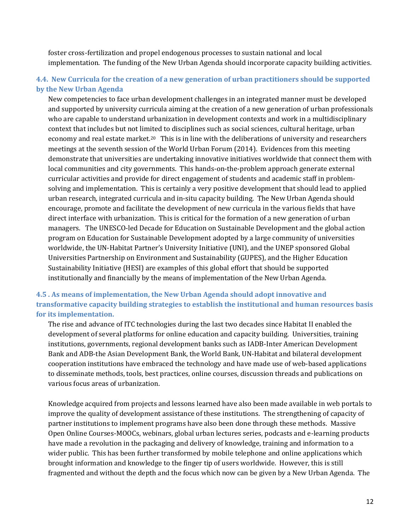foster cross-fertilization and propel endogenous processes to sustain national and local implementation. The funding of the New Urban Agenda should incorporate capacity building activities.

### <span id="page-11-0"></span>**4.4. New Curricula for the creation of a new generation of urban practitioners should be supported by the New Urban Agenda**

New competencies to face urban development challenges in an integrated manner must be developed and supported by university curricula aiming at the creation of a new generation of urban professionals who are capable to understand urbanization in development contexts and work in a multidisciplinary context that includes but not limited to disciplines such as social sciences, cultural heritage, urban economy and real estate market.20 This is in line with the deliberations of university and researchers meetings at the seventh session of the World Urban Forum (2014). Evidences from this meeting demonstrate that universities are undertaking innovative initiatives worldwide that connect them with local communities and city governments. This hands-on-the-problem approach generate external curricular activities and provide for direct engagement of students and academic staff in problemsolving and implementation. This is certainly a very positive development that should lead to applied urban research, integrated curricula and in-situ capacity building. The New Urban Agenda should encourage, promote and facilitate the development of new curricula in the various fields that have direct interface with urbanization. This is critical for the formation of a new generation of urban managers. The UNESCO-led Decade for Education on Sustainable Development and the global action program on Education for Sustainable Development adopted by a large community of universities worldwide, the UN-Habitat Partner's University Initiative (UNI), and the UNEP sponsored Global Universities Partnership on Environment and Sustainability (GUPES), and the Higher Education Sustainability Initiative (HESI) are examples of this global effort that should be supported institutionally and financially by the means of implementation of the New Urban Agenda.

### <span id="page-11-1"></span>**4.5 . As means of implementation, the New Urban Agenda should adopt innovative and transformative capacity building strategies to establish the institutional and human resources basis for its implementation.**

The rise and advance of ITC technologies during the last two decades since Habitat II enabled the development of several platforms for online education and capacity building. Universities, training institutions, governments, regional development banks such as IADB-Inter American Development Bank and ADB-the Asian Development Bank, the World Bank, UN-Habitat and bilateral development cooperation institutions have embraced the technology and have made use of web-based applications to disseminate methods, tools, best practices, online courses, discussion threads and publications on various focus areas of urbanization.

Knowledge acquired from projects and lessons learned have also been made available in web portals to improve the quality of development assistance of these institutions. The strengthening of capacity of partner institutions to implement programs have also been done through these methods. Massive Open Online Courses-MOOCs, webinars, global urban lectures series, podcasts and e-learning products have made a revolution in the packaging and delivery of knowledge, training and information to a wider public. This has been further transformed by mobile telephone and online applications which brought information and knowledge to the finger tip of users worldwide. However, this is still fragmented and without the depth and the focus which now can be given by a New Urban Agenda. The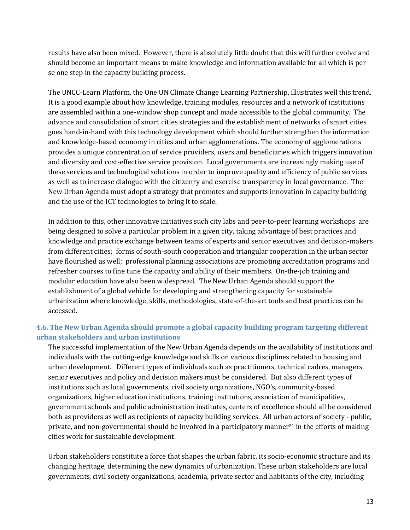results have also been mixed. However, there is absolutely little doubt that this will further evolve and should become an important means to make knowledge and information available for all which is per se one step in the capacity building process.

The UNCC-Learn Platform, the One UN Climate Change Learning Partnership, illustrates well this trend. It is a good example about how knowledge, training modules, resources and a network of institutions are assembled within a one-window shop concept and made accessible to the global community. The advance and consolidation of smart cities strategies and the establishment of networks of smart cities goes hand-in-hand with this technology development which should further strengthen the information and knowledge-based economy in cities and urban agglomerations. The economy of agglomerations provides a unique concentration of service providers, users and beneficiaries which triggers innovation and diversity and cost-effective service provision. Local governments are increasingly making use of these services and technological solutions in order to improve quality and efficiency of public services as well as to increase dialogue with the citizenry and exercise transparency in local governance. The New Urban Agenda must adopt a strategy that promotes and supports innovation in capacity building and the use of the ICT technologies to bring it to scale.

In addition to this, other innovative initiatives such city labs and peer-to-peer learning workshops are being designed to solve a particular problem in a given city, taking advantage of best practices and knowledge and practice exchange between teams of experts and senior executives and decision-makers from different cities; forms of south-south cooperation and triangular cooperation in the urban sector have flourished as well; professional planning associations are promoting accreditation programs and refresher courses to fine tune the capacity and ability of their members. On-the-job training and modular education have also been widespread. The New Urban Agenda should support the establishment of a global vehicle for developing and strengthening capacity for sustainable urbanization where knowledge, skills, methodologies, state-of-the-art tools and best practices can be accessed.

### <span id="page-12-0"></span>**4.6. The New Urban Agenda should promote a global capacity building program targeting different urban stakeholders and urban institutions**

The successful implementation of the New Urban Agenda depends on the availability of institutions and individuals with the cutting-edge knowledge and skills on various disciplines related to housing and urban development. Different types of individuals such as practitioners, technical cadres, managers, senior executives and policy and decision makers must be considered. But also different types of institutions such as local governments, civil society organizations, NGO's, community-based organizations, higher education institutions, training institutions, association of municipalities, government schools and public administration institutes, centers of excellence should all be considered both as providers as well as recipients of capacity building services. All urban actors of society - public, private, and non-governmental should be involved in a participatory manner<sup>21</sup> in the efforts of making cities work for sustainable development.

Urban stakeholders constitute a force that shapes the urban fabric, its socio-economic structure and its changing heritage, determining the new dynamics of urbanization. These urban stakeholders are local governments, civil society organizations, academia, private sector and habitants of the city, including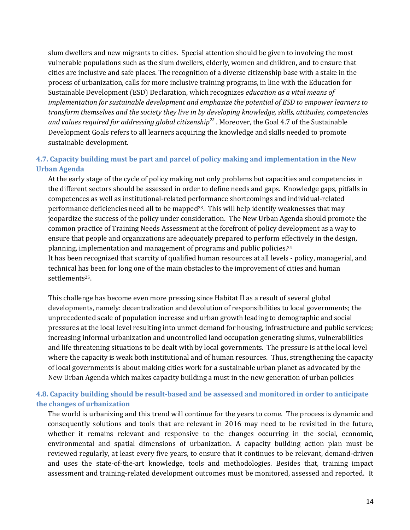slum dwellers and new migrants to cities. Special attention should be given to involving the most vulnerable populations such as the slum dwellers, elderly, women and children, and to ensure that cities are inclusive and safe places. The recognition of a diverse citizenship base with a stake in the process of urbanization, calls for more inclusive training programs, in line with the Education for Sustainable Development (ESD) Declaration, which recognizes *education as a vital means of implementation for sustainable development and emphasize the potential of ESD to empower learners to transform themselves and the society they live in by developing knowledge, skills, attitudes, competencies and values required for addressing global citizenship<sup>22</sup>* . Moreover, the Goal 4.7 of the Sustainable Development Goals refers to all learners acquiring the knowledge and skills needed to promote sustainable development.

### <span id="page-13-0"></span>**4.7. Capacity building must be part and parcel of policy making and implementation in the New Urban Agenda**

At the early stage of the cycle of policy making not only problems but capacities and competencies in the different sectors should be assessed in order to define needs and gaps. Knowledge gaps, pitfalls in competences as well as institutional-related performance shortcomings and individual-related performance deficiencies need all to be mapped<sup>23</sup>. This will help identify weaknesses that may jeopardize the success of the policy under consideration. The New Urban Agenda should promote the common practice of Training Needs Assessment at the forefront of policy development as a way to ensure that people and organizations are adequately prepared to perform effectively in the design, planning, implementation and management of programs and public policies. <sup>24</sup> It has been recognized that scarcity of qualified human resources at all levels - policy, managerial, and technical has been for long one of the main obstacles to the improvement of cities and human settlements<sup>25</sup>.

This challenge has become even more pressing since Habitat II as a result of several global developments, namely: decentralization and devolution of responsibilities to local governments; the unprecedented scale of population increase and urban growth leading to demographic and social pressures at the local level resulting into unmet demand for housing, infrastructure and public services; increasing informal urbanization and uncontrolled land occupation generating slums, vulnerabilities and life threatening situations to be dealt with by local governments. The pressure is at the local level where the capacity is weak both institutional and of human resources. Thus, strengthening the capacity of local governments is about making cities work for a sustainable urban planet as advocated by the New Urban Agenda which makes capacity building a must in the new generation of urban policies

### <span id="page-13-1"></span>**4.8. Capacity building should be result-based and be assessed and monitored in order to anticipate the changes of urbanization**

The world is urbanizing and this trend will continue for the years to come. The process is dynamic and consequently solutions and tools that are relevant in 2016 may need to be revisited in the future, whether it remains relevant and responsive to the changes occurring in the social, economic, environmental and spatial dimensions of urbanization. A capacity building action plan must be reviewed regularly, at least every five years, to ensure that it continues to be relevant, demand-driven and uses the state-of-the-art knowledge, tools and methodologies. Besides that, training impact assessment and training-related development outcomes must be monitored, assessed and reported. It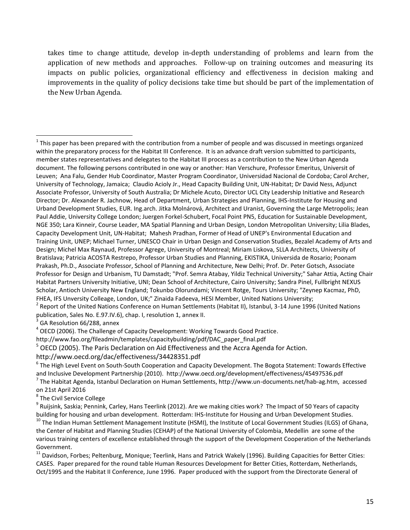takes time to change attitude, develop in-depth understanding of problems and learn from the application of new methods and approaches. Follow-up on training outcomes and measuring its impacts on public policies, organizational efficiency and effectiveness in decision making and improvements in the quality of policy decisions take time but should be part of the implementation of the New Urban Agenda.

 $1$  This paper has been prepared with the contribution from a number of people and was discussed in meetings organized within the preparatory process for the Habitat III Conference. It is an advance draft version submitted to participants, member states representatives and delegates to the Habitat III process as a contribution to the New Urban Agenda document. The following persons contributed in one way or another: Han Verschure, Professor Emeritus, Universit of Leuven; Ana Falu, Gender Hub Coordinator, Master Program Coordinator, Universidad Nacional de Cordoba; Carol Archer, University of Technology, Jamaica; Claudio Acioly Jr., Head Capacity Building Unit, UN-Habitat; Dr David Ness, Adjunct Associate Professor, University of South Australia; Dr Michele Acuto, Director UCL City Leadership Initiative and Research Director; Dr. Alexander R. Jachnow, Head of Department, Urban Strategies and Planning, IHS-Institute for Housing and Urband Development Studies, EUR. Ing.arch. Jitka Molnárová, Architect and Uranist, Governing the Large Metropolis; Jean Paul Addie, University College London; Juergen Forkel-Schubert, Focal Point PN5, Education for Sustainable Development, NGE 350; Lara Kinneir, Course Leader, MA Spatial Planning and Urban Design, London Metropolitan University; Lilia Blades, Capacity Development Unit, UN-Habitat; Mahesh Pradhan, Former of Head of UNEP's Environmental Education and Training Unit, UNEP; Michael Turner, UNESCO Chair in Urban Design and Conservation Studies, Bezalel Academy of Arts and Design; Michel Max Raynaud, Professor Agrege, University of Montreal; Miriam Liskova, SLLA Architects, University of Bratislava; Patricia ACOSTA Restrepo, Professor Urban Studies and Planning, EKISTIKA, Universida de Rosario; Poonam Prakash, Ph.D., Associate Professor, School of Planning and Architecture, New Delhi; Prof. Dr. Peter Gotsch, Associate Professor for Design and Urbanism, TU Damstadt; "Prof. Semra Atabay, Yildiz Technical University;" Sahar Attia, Acting Chair Habitat Partners University Initiative, UNI; Dean School of Architecture, Cairo University; Sandra Pinel, Fullbright NEXUS Scholar, Antioch University New England; Tokunbo Olorundami; Vincent Rotge, Tours University; "Zeynep Kacmaz, PhD, FHEA, IFS Unversity Colleage, London, UK;" Zinaida Fadeeva, HESI Member, United Nations University;

<sup>2</sup> Report of the United Nations Conference on Human Settlements (Habitat II), Istanbul, 3-14 June 1996 (United Nations publication, Sales No. E.97.IV.6), chap. I, resolution 1, annex II.

3 GA Resolution 66/288, annex

l

 $^4$  OECD (2006). The Challenge of Capacity Development: Working Towards Good Practice.

http://www.fao.org/fileadmin/templates/capacitybuilding/pdf/DAC\_paper\_final.pdf

<sup>5</sup> OECD (2005). The Paris Declaration on Aid Effectiveness and the Accra Agenda for Action.

http://www.oecd.org/dac/effectiveness/34428351.pdf

<sup>6</sup> The High Level Event on South-South Cooperation and Capacity Development. The Bogota Statement: Towards Effective and Inclusive Development Partnership (2010). http://www.oecd.org/development/effectiveness/45497536.pdf

<sup>7</sup> The Habitat Agenda, Istanbul Declaration on Human Settlements, http://www.un-documents.net/hab-ag.htm, accessed on 21st April 2016

<sup>8</sup> The Civil Service College

<sup>9</sup> Ruijsink, Saskia; Pennink, Carley, Hans Teerlink (2012). Are we making cities work? The Impact of 50 Years of capacity building for housing and urban development. Rotterdam: IHS-Institute for Housing and Urban Development Studies.

<sup>10</sup> The Indian Human Settlement Management Institute (HSMI), the Institute of Local Government Studies (ILGS) of Ghana, the Center of Habitat and Planning Studies (CEHAP) of the National University of Colombia, Medellin are some of the various training centers of excellence established through the support of the Development Cooperation of the Netherlands Government.

<sup>11</sup> Davidson, Forbes; Peltenburg, Monique; Teerlink, Hans and Patrick Wakely (1996). Building Capacities for Better Cities: CASES. Paper prepared for the round table Human Resources Development for Better Cities, Rotterdam, Netherlands, Oct/1995 and the Habitat II Conference, June 1996. Paper produced with the support from the Directorate General of